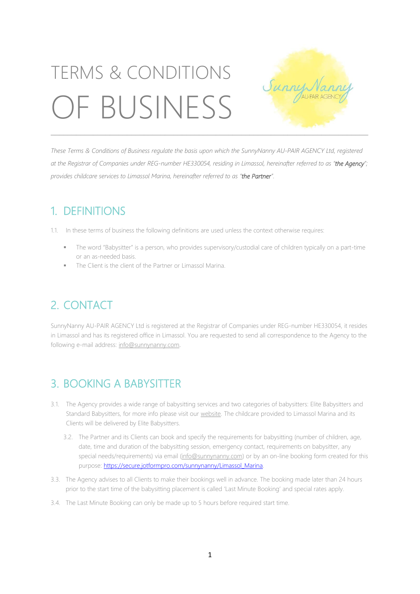# TERMS & CONDITIONS OF BUSINESS



These Terms & Conditions of Business regulate the basis upon which the SunnyNanny AU-PAIR AGENCY Ltd, registered at the Registrar of Companies under REG-number HE330054, residing in Limassol, hereinafter referred to as "the Agency"; *provides childcare services to Limassol Marina, hereinafter referred to as "the Partner".*

# 1. DEFINITIONS

1.1. In these terms of business the following definitions are used unless the context otherwise requires:

- The word "Babysitter" is a person, who provides supervisory/custodial care of children typically on a part-time or an as-needed basis.
- The Client is the client of the Partner or Limassol Marina.

# 2. CONTACT

SunnyNanny AU-PAIR AGENCY Ltd is registered at the Registrar of Companies under REG-number HE330054, it resides in Limassol and has its registered office in Limassol. You are requested to send all correspondence to the Agency to the following e-mail address: [info@sunnynanny.com.](mailto:info@sunnynanny.com) 

# 3. BOOKING A BABYSITTER

- 3.1. The Agency provides a wide range of babysitting services and two categories of babysitters: Elite Babysitters and Standard Babysitters, for more info please visit ou[r website.](http://www.sunnynanny.com/#!babysitting-cyprus/c18ny) The childcare provided to Limassol Marina and its Clients will be delivered by Elite Babysitters.
	- 3.2. The Partner and its Clients can book and specify the requirements for babysitting (number of children, age, date, time and duration of the babysitting session, emergency contact, requirements on babysitter, any special needs/requirements) via email [\(info@sunnynanny.com\)](mailto:info@sunnynanny.com) or by an on-line booking form created for this purpose: [https://secure.jotformpro.com/sunnynanny/Limassol\\_Marina.](https://secure.jotformpro.com/sunnynanny/Limassol_Marina)
- 3.3. The Agency advises to all Clients to make their bookings well in advance. The booking made later than 24 hours prior to the start time of the babysitting placement is called 'Last Minute Booking' and special rates apply.
- 3.4. The Last Minute Booking can only be made up to 5 hours before required start time.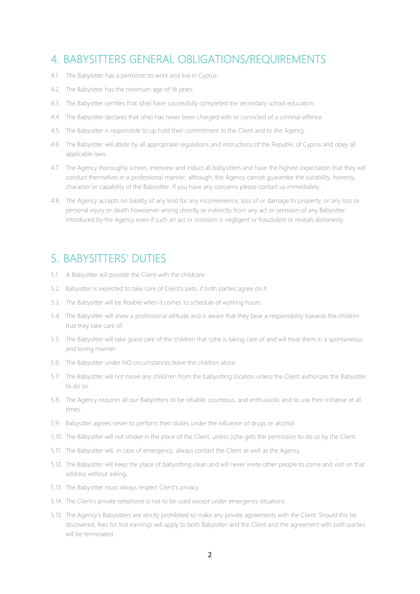#### 4. BABYSITTERS GENERAL OBLIGATIONS/REQUIREMENTS

- 4.1. The Babysitter has a permition to work and live in Cyprus.
- 4.2. The Babysitter has the minimum age of 18 years.
- 4.3. The Babysitter certifies that s(he) have successfully completed the secondary school education.
- 4.4. The Babysitter declares that s(he) has never been charged with or convicted of a criminal offence.
- 4.5. The Babysitter is responsible to up hold their commitment to the Client and to the Agency.
- 4.6. The Babysitter will abide by all appropriate regulations and instructions of the Republic of Cyprus and obey all applicable laws.
- 4.7. The Agency thoroughly screen, interview and induct all babysitters and have the highest expectation that they will conduct themselves in a professional manner, although, the Agency cannot guarantee the suitability, honesty, character or capability of the Babysitter. If you have any concerns please contact us immediately.
- 4.8. The Agency accepts no liability of any kind for any inconvenience, loss of or damage to property, or any loss or personal injury or death howsoever arising directly or indirectly from any act or omission of any Babysitter introduced by the Agency even if such an act or omission is negligent or fraudulent or reveals dishonesty.

#### 5. BABYSITTERS' DUTIES

- 5.1. A Babysitter will provide the Client with the childcare.
- 5.2. Babysitter is expected to take care of Client's pets, if both parties agree on it.
- 5.3. The Babysitter will be flexible when it comes to schedule of working hours.
- 5.4. The Babysitter will show a professional attitude and is aware that they bear a responsibility towards the children that they take care of.
- 5.5. The Babysitter will take good care of the children that (s)he is taking care of and will treat them in a spontaneous and loving manner.
- 5.6. The Babysitter under NO circumstances leave the children alone.
- 5.7. The Babysitter will not move any child/ren from the babysitting location unless the Client authorizes the Babysitter to do so.
- 5.8. The Agency requires all our Babysitters to be reliable, courteous, and enthusiastic and to use their initiative at all times.
- 5.9. Babysitter agrees never to perform their duties under the influence of drugs or alcohol.
- 5.10. The Babysitter will not smoke in the place of the Client, unless (s)he gets the permission to do so by the Client.
- 5.11. The Babysitter will, in case of emergency, always contact the Client as well as the Agency.
- 5.12. The Babysitter will keep the place of babysitting clean and will never invite other people to come and visit on that address without asking.
- 5.13. The Babysitter must always respect Client's privacy.
- 5.14. The Client's private telephone is not to be used except under emergency situations.
- 5.15. The Agency's Babysitters are strictly prohibited to make any private agreements with the Client. Should this be discovered, fees for lost earnings will apply to both Babysitter and the Client and the agreement with both parties will be terminated.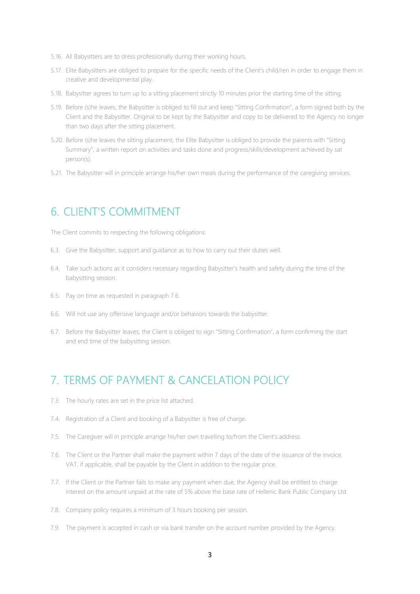- 5.16. All Babysitters are to dress professionally during their working hours.
- 5.17. Elite Babysitters are obliged to prepare for the specific needs of the Client's child/ren in order to engage them in creative and developmental play.
- 5.18. Babysitter agrees to turn up to a sitting placement strictly 10 minutes prior the starting time of the sitting.
- 5.19. Before (s)he leaves, the Babysitter is obliged to fill out and keep "Sitting Confirmation", a form signed both by the Client and the Babysitter. Original to be kept by the Babysitter and copy to be delivered to the Agency no longer than two days after the sitting placement.
- 5.20. Before (s)he leaves the sitting placement, the Elite Babysitter is obliged to provide the parents with "Sitting Summary", a written report on activities and tasks done and progress/skills/development achieved by sat person(s).
- 5.21. The Babysitter will in principle arrange his/her own meals during the performance of the caregiving services.

#### 6. CLIENT'S COMMITMENT

The Client commits to respecting the following obligations:

- 6.3. Give the Babysitter, support and guidance as to how to carry out their duties well.
- 6.4. Take such actions as it considers necessary regarding Babysitter's health and safety during the time of the babysitting session.
- 6.5. Pay on time as requested in paragraph 7.6.
- 6.6. Will not use any offensive language and/or behaviors towards the babysitter.
- 6.7. Before the Babysitter leaves, the Client is obliged to sign "Sitting Confirmation", a form confirming the start and end time of the babysitting session.

### 7. TERMS OF PAYMENT & CANCELATION POLICY

- 7.3. The hourly rates are set in the price list attached.
- 7.4. Registration of a Client and booking of a Babysitter is free of charge.
- 7.5. The Caregiver will in principle arrange his/her own travelling to/from the Client's address.
- 7.6. The Client or the Partner shall make the payment within 7 days of the date of the issuance of the invoice. VAT, if applicable, shall be payable by the Client in addition to the regular price.
- 7.7. If the Client or the Partner fails to make any payment when due, the Agency shall be entitled to charge interest on the amount unpaid at the rate of 5% above the base rate of Hellenic Bank Public Company Ltd.
- 7.8. Company policy requires a minimum of 3 hours booking per session.
- 7.9. The payment is accepted in cash or via bank transfer on the account number provided by the Agency.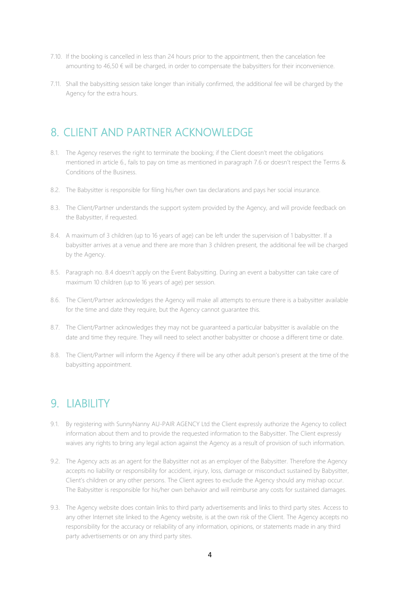- 7.10. If the booking is cancelled in less than 24 hours prior to the appointment, then the cancelation fee amounting to 46,50 € will be charged, in order to compensate the babysitters for their inconvenience.
- 7.11. Shall the babysitting session take longer than initially confirmed, the additional fee will be charged by the Agency for the extra hours.

#### 8. CLIENT AND PARTNER ACKNOWLEDGE

- 8.1. The Agency reserves the right to terminate the booking; if the Client doesn't meet the obligations mentioned in article 6., fails to pay on time as mentioned in paragraph 7.6 or doesn't respect the Terms & Conditions of the Business.
- 8.2. The Babysitter is responsible for filing his/her own tax declarations and pays her social insurance.
- 8.3. The Client/Partner understands the support system provided by the Agency, and will provide feedback on the Babysitter, if requested.
- 8.4. A maximum of 3 children (up to 16 years of age) can be left under the supervision of 1 babysitter. If a babysitter arrives at a venue and there are more than 3 children present, the additional fee will be charged by the Agency.
- 8.5. Paragraph no. 8.4 doesn't apply on the Event Babysitting. During an event a babysitter can take care of maximum 10 children (up to 16 years of age) per session.
- 8.6. The Client/Partner acknowledges the Agency will make all attempts to ensure there is a babysitter available for the time and date they require, but the Agency cannot guarantee this.
- 8.7. The Client/Partner acknowledges they may not be guaranteed a particular babysitter is available on the date and time they require. They will need to select another babysitter or choose a different time or date.
- 8.8. The Client/Partner will inform the Agency if there will be any other adult person's present at the time of the babysitting appointment.

#### 9. LIABILITY

- 9.1. By registering with SunnyNanny AU-PAIR AGENCY Ltd the Client expressly authorize the Agency to collect information about them and to provide the requested information to the Babysitter. The Client expressly waives any rights to bring any legal action against the Agency as a result of provision of such information.
- 9.2. The Agency acts as an agent for the Babysitter not as an employer of the Babysitter. Therefore the Agency accepts no liability or responsibility for accident, injury, loss, damage or misconduct sustained by Babysitter, Client's children or any other persons. The Client agrees to exclude the Agency should any mishap occur. The Babysitter is responsible for his/her own behavior and will reimburse any costs for sustained damages.
- 9.3. The Agency website does contain links to third party advertisements and links to third party sites. Access to any other Internet site linked to the Agency website, is at the own risk of the Client. The Agency accepts no responsibility for the accuracy or reliability of any information, opinions, or statements made in any third party advertisements or on any third party sites.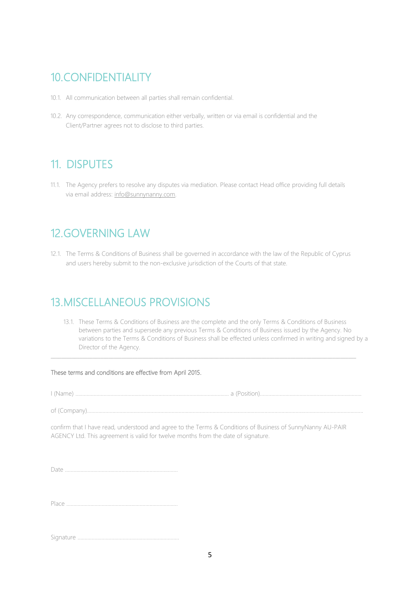# 10.CONFIDENTIALITY

- 10.1. All communication between all parties shall remain confidential.
- 10.2. Any correspondence, communication either verbally, written or via email is confidential and the Client/Partner agrees not to disclose to third parties.

# 11. DISPUTES

11.1. The Agency prefers to resolve any disputes via mediation. Please contact Head office providing full details via email address: [info@sunnynanny.com.](mailto:info@sunnynanny.com)

## 12.GOVERNING LAW

12.1. The Terms & Conditions of Business shall be governed in accordance with the law of the Republic of Cyprus and users hereby submit to the non-exclusive jurisdiction of the Courts of that state.

# 13.MISCELLANEOUS PROVISIONS

13.1. These Terms & Conditions of Business are the complete and the only Terms & Conditions of Business between parties and supersede any previous Terms & Conditions of Business issued by the Agency. No variations to the Terms & Conditions of Business shall be effected unless confirmed in writing and signed by a Director of the Agency.

 $\_$  ,  $\_$  ,  $\_$  ,  $\_$  ,  $\_$  ,  $\_$  ,  $\_$  ,  $\_$  ,  $\_$  ,  $\_$  ,  $\_$  ,  $\_$  ,  $\_$  ,  $\_$  ,  $\_$  ,  $\_$  ,  $\_$  ,  $\_$  ,  $\_$  ,  $\_$  ,  $\_$  ,  $\_$  ,  $\_$  ,  $\_$  ,  $\_$  ,  $\_$  ,  $\_$  ,  $\_$  ,  $\_$  ,  $\_$  ,  $\_$  ,  $\_$  ,  $\_$  ,  $\_$  ,  $\_$  ,  $\_$  ,  $\_$  ,

#### These terms and conditions are effective from April 2015.

I (Name) …………………………………..…….….…..……….….…..………….….…..……….. a (Position)……………….….……….….…....……………………….

of (Company)………………..……………..…………….…..…….……….….…..……….….…..……...….............…….….….……….….….……….….….………........

confirm that I have read, understood and agree to the Terms & Conditions of Business of SunnyNanny AU-PAIR AGENCY Ltd. This agreement is valid for twelve months from the date of signature.

Place …………………………………..….........................…….…

Signature …………………………………..…….….…..……………